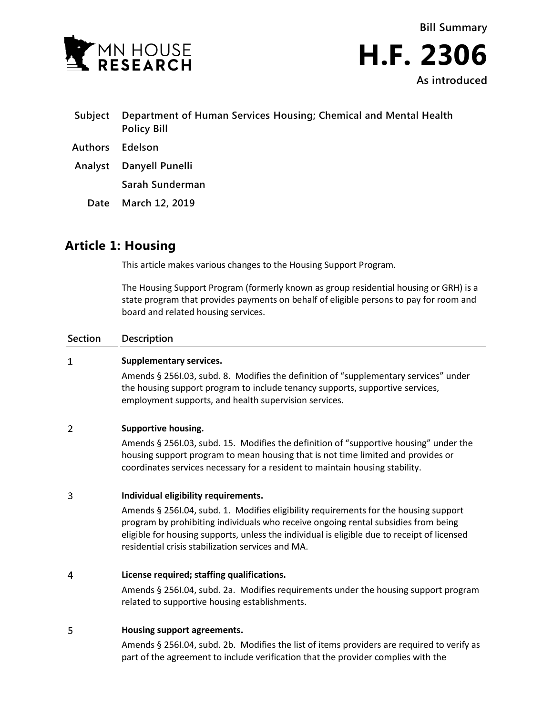



- **Subject Department of Human Services Housing; Chemical and Mental Health Policy Bill Authors Edelson**
- **Analyst Danyell Punelli**

**Sarah Sunderman**

**Date March 12, 2019**

# **Article 1: Housing**

This article makes various changes to the Housing Support Program.

The Housing Support Program (formerly known as group residential housing or GRH) is a state program that provides payments on behalf of eligible persons to pay for room and board and related housing services.

# **Section Description**

### $\mathbf{1}$ **Supplementary services.**

Amends § 256I.03, subd. 8. Modifies the definition of "supplementary services" under the housing support program to include tenancy supports, supportive services, employment supports, and health supervision services.

# $\overline{2}$ **Supportive housing.**

Amends § 256I.03, subd. 15. Modifies the definition of "supportive housing" under the housing support program to mean housing that is not time limited and provides or coordinates services necessary for a resident to maintain housing stability.

# 3 **Individual eligibility requirements.**

Amends § 256I.04, subd. 1. Modifies eligibility requirements for the housing support program by prohibiting individuals who receive ongoing rental subsidies from being eligible for housing supports, unless the individual is eligible due to receipt of licensed residential crisis stabilization services and MA.

# $\overline{4}$ **License required; staffing qualifications.**

Amends § 256I.04, subd. 2a. Modifies requirements under the housing support program related to supportive housing establishments.

# 5 **Housing support agreements.**

Amends § 256I.04, subd. 2b. Modifies the list of items providers are required to verify as part of the agreement to include verification that the provider complies with the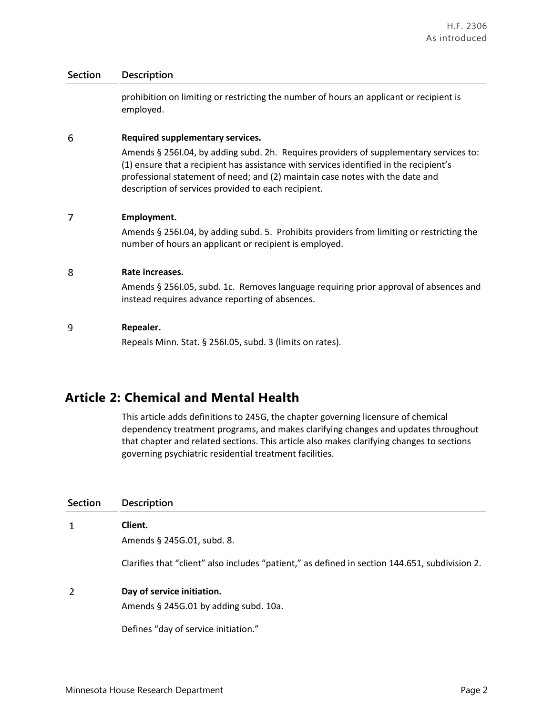prohibition on limiting or restricting the number of hours an applicant or recipient is employed.

### 6 **Required supplementary services.**

Amends § 256I.04, by adding subd. 2h. Requires providers of supplementary services to: (1) ensure that a recipient has assistance with services identified in the recipient's professional statement of need; and (2) maintain case notes with the date and description of services provided to each recipient.

# $\overline{7}$ **Employment.**

Amends § 256I.04, by adding subd. 5. Prohibits providers from limiting or restricting the number of hours an applicant or recipient is employed.

# 8 **Rate increases.**

Amends § 256I.05, subd. 1c. Removes language requiring prior approval of absences and instead requires advance reporting of absences.

# 9 **Repealer.**

Repeals Minn. Stat. § 256I.05, subd. 3 (limits on rates).

# **Article 2: Chemical and Mental Health**

This article adds definitions to 245G, the chapter governing licensure of chemical dependency treatment programs, and makes clarifying changes and updates throughout that chapter and related sections. This article also makes clarifying changes to sections governing psychiatric residential treatment facilities.

| Section | <b>Description</b>                                                                             |
|---------|------------------------------------------------------------------------------------------------|
| 1       | Client.                                                                                        |
|         | Amends § 245G.01, subd. 8.                                                                     |
|         | Clarifies that "client" also includes "patient," as defined in section 144.651, subdivision 2. |
| 2       | Day of service initiation.                                                                     |
|         | Amends § 245G.01 by adding subd. 10a.                                                          |
|         |                                                                                                |

Defines "day of service initiation."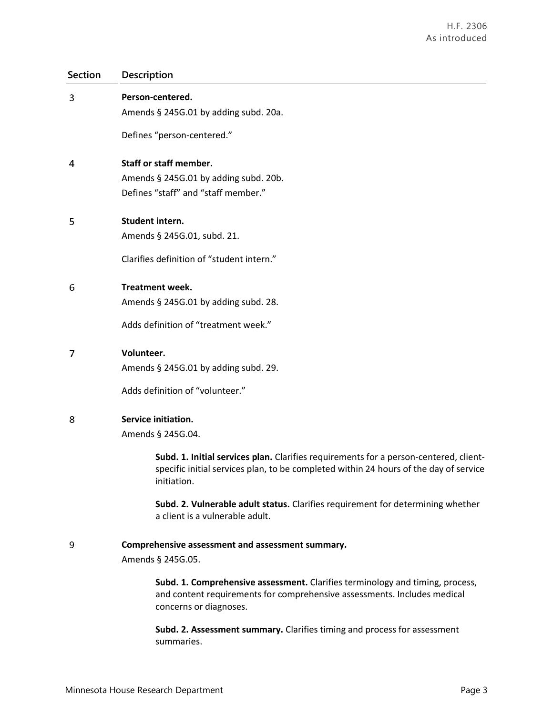| 3 | Person-centered.<br>Amends § 245G.01 by adding subd. 20a.                                                                                                                                     |
|---|-----------------------------------------------------------------------------------------------------------------------------------------------------------------------------------------------|
|   |                                                                                                                                                                                               |
|   | Defines "person-centered."                                                                                                                                                                    |
| 4 | <b>Staff or staff member.</b>                                                                                                                                                                 |
|   | Amends § 245G.01 by adding subd. 20b.                                                                                                                                                         |
|   | Defines "staff" and "staff member."                                                                                                                                                           |
| 5 | Student intern.                                                                                                                                                                               |
|   | Amends § 245G.01, subd. 21.                                                                                                                                                                   |
|   | Clarifies definition of "student intern."                                                                                                                                                     |
| 6 | <b>Treatment week.</b>                                                                                                                                                                        |
|   | Amends § 245G.01 by adding subd. 28.                                                                                                                                                          |
|   | Adds definition of "treatment week."                                                                                                                                                          |
| 7 | Volunteer.                                                                                                                                                                                    |
|   | Amends § 245G.01 by adding subd. 29.                                                                                                                                                          |
|   | Adds definition of "volunteer."                                                                                                                                                               |
| 8 | Service initiation.                                                                                                                                                                           |
|   | Amends § 245G.04.                                                                                                                                                                             |
|   | Subd. 1. Initial services plan. Clarifies requirements for a person-centered, client-<br>specific initial services plan, to be completed within 24 hours of the day of service<br>initiation. |
|   | Subd. 2. Vulnerable adult status. Clarifies requirement for determining whether<br>a client is a vulnerable adult.                                                                            |
| 9 | Comprehensive assessment and assessment summary.                                                                                                                                              |
|   | Amends § 245G.05.                                                                                                                                                                             |
|   | Subd. 1. Comprehensive assessment. Clarifies terminology and timing, process,<br>and content requirements for comprehensive assessments. Includes medical<br>concerns or diagnoses.           |
|   | Subd. 2. Assessment summary. Clarifies timing and process for assessment<br>summaries.                                                                                                        |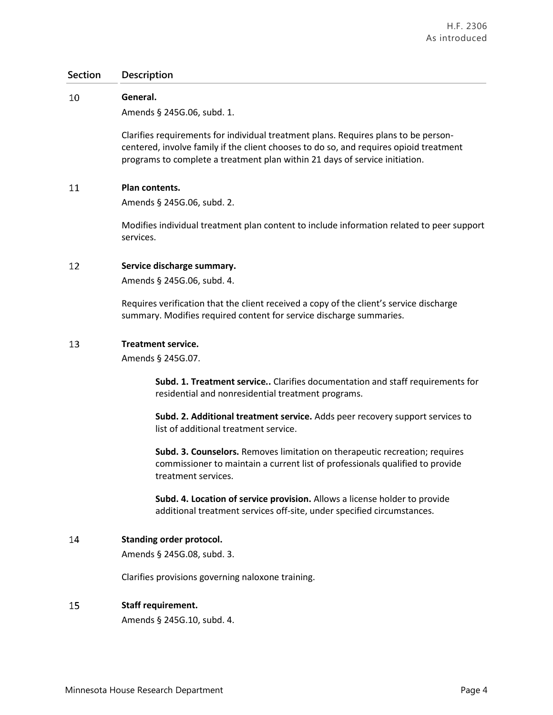#### 10 **General.**

Amends § 245G.06, subd. 1.

Clarifies requirements for individual treatment plans. Requires plans to be personcentered, involve family if the client chooses to do so, and requires opioid treatment programs to complete a treatment plan within 21 days of service initiation.

### 11 **Plan contents.**

Amends § 245G.06, subd. 2.

Modifies individual treatment plan content to include information related to peer support services.

### 12 **Service discharge summary.**

Amends § 245G.06, subd. 4.

Requires verification that the client received a copy of the client's service discharge summary. Modifies required content for service discharge summaries.

### 13 **Treatment service.**

Amends § 245G.07.

**Subd. 1. Treatment service..** Clarifies documentation and staff requirements for residential and nonresidential treatment programs.

**Subd. 2. Additional treatment service.** Adds peer recovery support services to list of additional treatment service.

**Subd. 3. Counselors.** Removes limitation on therapeutic recreation; requires commissioner to maintain a current list of professionals qualified to provide treatment services.

**Subd. 4. Location of service provision.** Allows a license holder to provide additional treatment services off-site, under specified circumstances.

# 14 **Standing order protocol.**

Amends § 245G.08, subd. 3.

Clarifies provisions governing naloxone training.

# 15 **Staff requirement.**

Amends § 245G.10, subd. 4.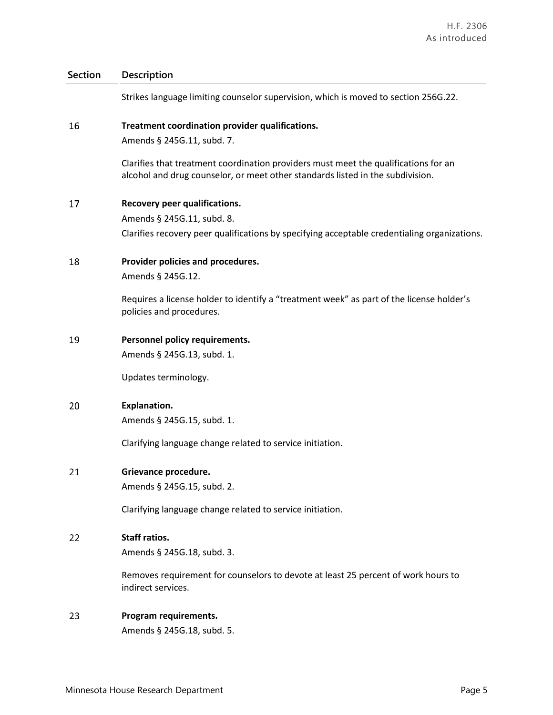Strikes language limiting counselor supervision, which is moved to section 256G.22.

### 16 **Treatment coordination provider qualifications.**

Amends § 245G.11, subd. 7.

Clarifies that treatment coordination providers must meet the qualifications for an alcohol and drug counselor, or meet other standards listed in the subdivision.

17 **Recovery peer qualifications.** Amends § 245G.11, subd. 8. Clarifies recovery peer qualifications by specifying acceptable credentialing organizations.

**Provider policies and procedures.** 18

Amends § 245G.12.

Requires a license holder to identify a "treatment week" as part of the license holder's policies and procedures.

19 **Personnel policy requirements.**

Amends § 245G.13, subd. 1.

Updates terminology.

20 **Explanation.**

Amends § 245G.15, subd. 1.

Clarifying language change related to service initiation.

### 21 **Grievance procedure.**

Amends § 245G.15, subd. 2.

Clarifying language change related to service initiation.

# 22 **Staff ratios.**

Amends § 245G.18, subd. 3.

Removes requirement for counselors to devote at least 25 percent of work hours to indirect services.

# 23 **Program requirements.**

Amends § 245G.18, subd. 5.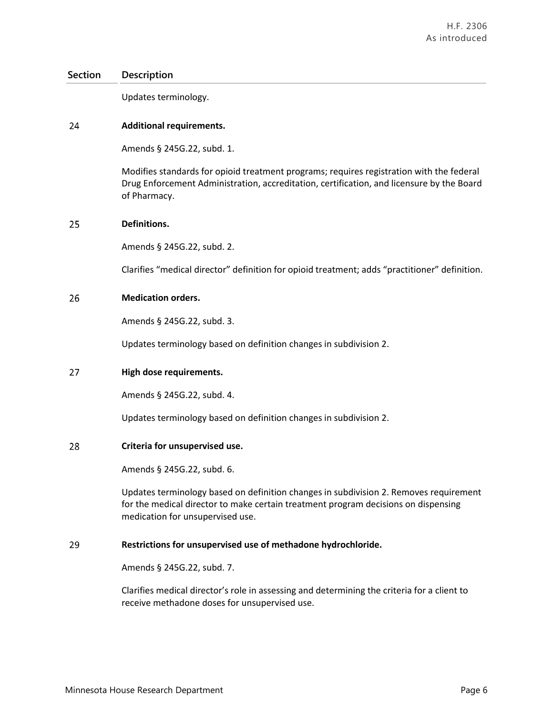Updates terminology.

# 24 **Additional requirements.**

Amends § 245G.22, subd. 1.

Modifies standards for opioid treatment programs; requires registration with the federal Drug Enforcement Administration, accreditation, certification, and licensure by the Board of Pharmacy.

# 25 **Definitions.**

Amends § 245G.22, subd. 2.

Clarifies "medical director" definition for opioid treatment; adds "practitioner" definition.

### 26 **Medication orders.**

Amends § 245G.22, subd. 3.

Updates terminology based on definition changes in subdivision 2.

#### 27 **High dose requirements.**

Amends § 245G.22, subd. 4.

Updates terminology based on definition changes in subdivision 2.

#### 28 **Criteria for unsupervised use.**

Amends § 245G.22, subd. 6.

Updates terminology based on definition changes in subdivision 2. Removes requirement for the medical director to make certain treatment program decisions on dispensing medication for unsupervised use.

#### 29 **Restrictions for unsupervised use of methadone hydrochloride.**

Amends § 245G.22, subd. 7.

Clarifies medical director's role in assessing and determining the criteria for a client to receive methadone doses for unsupervised use.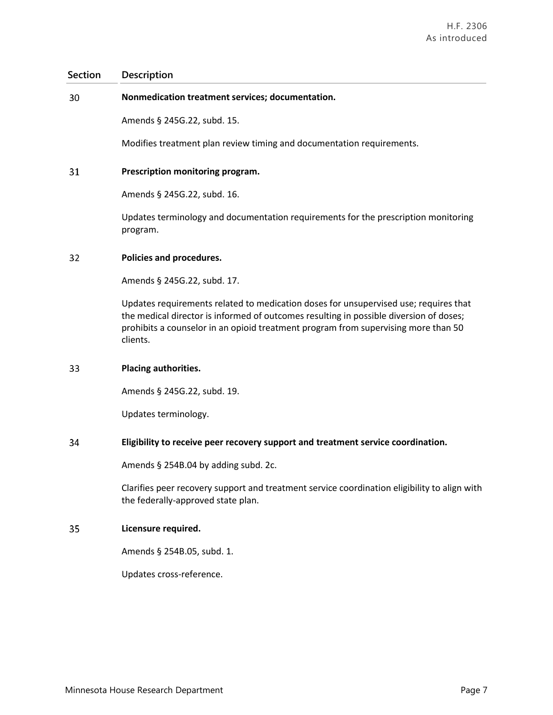#### 30 **Nonmedication treatment services; documentation.**

Amends § 245G.22, subd. 15.

Modifies treatment plan review timing and documentation requirements.

#### 31 **Prescription monitoring program.**

Amends § 245G.22, subd. 16.

Updates terminology and documentation requirements for the prescription monitoring program.

#### 32 **Policies and procedures.**

Amends § 245G.22, subd. 17.

Updates requirements related to medication doses for unsupervised use; requires that the medical director is informed of outcomes resulting in possible diversion of doses; prohibits a counselor in an opioid treatment program from supervising more than 50 clients.

#### 33 **Placing authorities.**

Amends § 245G.22, subd. 19.

Updates terminology.

### 34 **Eligibility to receive peer recovery support and treatment service coordination.**

Amends § 254B.04 by adding subd. 2c.

Clarifies peer recovery support and treatment service coordination eligibility to align with the federally-approved state plan.

#### 35 **Licensure required.**

Amends § 254B.05, subd. 1.

Updates cross-reference.